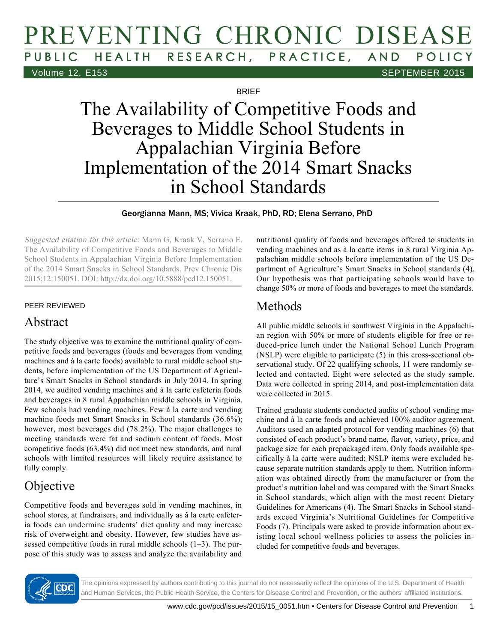# PREVENTING CHRONIC DISEASE RESEARCH, PRACTICE, AND POLICY Volume 12, E153 SEPTEMBER 2015

BRIEF

# The Availability of Competitive Foods and Beverages to Middle School Students in Appalachian Virginia Before Implementation of the 2014 Smart Snacks in School Standards

#### Georgianna Mann, MS; Vivica Kraak, PhD, RD; Elena Serrano, PhD

Suggested citation for this article: Mann G, Kraak V, Serrano E. The Availability of Competitive Foods and Beverages to Middle School Students in Appalachian Virginia Before Implementation of the 2014 Smart Snacks in School Standards. Prev Chronic Dis 2015;12:150051. DOI: http://dx.doi.org/10.5888/pcd12.150051.

#### PEER REVIEWED

#### Abstract

The study objective was to examine the nutritional quality of competitive foods and beverages (foods and beverages from vending machines and à la carte foods) available to rural middle school students, before implementation of the US Department of Agriculture's Smart Snacks in School standards in July 2014. In spring 2014, we audited vending machines and à la carte cafeteria foods and beverages in 8 rural Appalachian middle schools in Virginia. Few schools had vending machines. Few à la carte and vending machine foods met Smart Snacks in School standards (36.6%); however, most beverages did (78.2%). The major challenges to meeting standards were fat and sodium content of foods. Most competitive foods (63.4%) did not meet new standards, and rural schools with limited resources will likely require assistance to fully comply.

## Objective

Competitive foods and beverages sold in vending machines, in school stores, at fundraisers, and individually as à la carte cafeteria foods can undermine students' diet quality and may increase risk of overweight and obesity. However, few studies have assessed competitive foods in rural middle schools (1–3). The purpose of this study was to assess and analyze the availability and nutritional quality of foods and beverages offered to students in vending machines and as à la carte items in 8 rural Virginia Appalachian middle schools before implementation of the US Department of Agriculture's Smart Snacks in School standards (4). Our hypothesis was that participating schools would have to change 50% or more of foods and beverages to meet the standards.

### Methods

All public middle schools in southwest Virginia in the Appalachian region with 50% or more of students eligible for free or reduced-price lunch under the National School Lunch Program (NSLP) were eligible to participate (5) in this cross-sectional observational study. Of 22 qualifying schools, 11 were randomly selected and contacted. Eight were selected as the study sample. Data were collected in spring 2014, and post-implementation data were collected in 2015.

Trained graduate students conducted audits of school vending machine and à la carte foods and achieved 100% auditor agreement. Auditors used an adapted protocol for vending machines (6) that consisted of each product's brand name, flavor, variety, price, and package size for each prepackaged item. Only foods available specifically à la carte were audited; NSLP items were excluded because separate nutrition standards apply to them. Nutrition information was obtained directly from the manufacturer or from the product's nutrition label and was compared with the Smart Snacks in School standards, which align with the most recent Dietary Guidelines for Americans (4). The Smart Snacks in School standards exceed Virginia's Nutritional Guidelines for Competitive Foods (7). Principals were asked to provide information about existing local school wellness policies to assess the policies included for competitive foods and beverages.



The opinions expressed by authors contributing to this journal do not necessarily reflect the opinions of the U.S. Department of Health and Human Services, the Public Health Service, the Centers for Disease Control and Prevention, or the authors' affiliated institutions.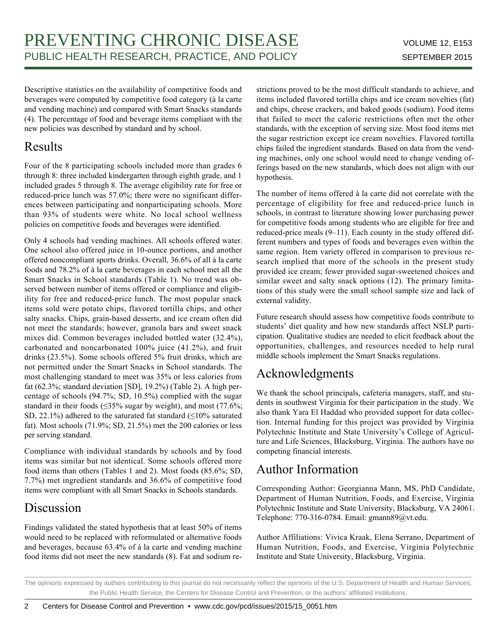Descriptive statistics on the availability of competitive foods and beverages were computed by competitive food category (à la carte and vending machine) and compared with Smart Snacks standards (4). The percentage of food and beverage items compliant with the new policies was described by standard and by school.

### Results

Four of the 8 participating schools included more than grades 6 through 8: three included kindergarten through eighth grade, and 1 included grades 5 through 8. The average eligibility rate for free or reduced-price lunch was 57.0%; there were no significant differences between participating and nonparticipating schools. More than 93% of students were white. No local school wellness policies on competitive foods and beverages were identified.

Only 4 schools had vending machines. All schools offered water. One school also offered juice in 10-ounce portions, and another offered noncompliant sports drinks. Overall, 36.6% of all à la carte foods and 78.2% of à la carte beverages in each school met all the Smart Snacks in School standards (Table 1). No trend was observed between number of items offered or compliance and eligibility for free and reduced-price lunch. The most popular snack items sold were potato chips, flavored tortilla chips, and other salty snacks. Chips, grain-based desserts, and ice cream often did not meet the standards; however, granola bars and sweet snack mixes did. Common beverages included bottled water (32.4%), carbonated and noncarbonated 100% juice (41.2%), and fruit drinks (23.5%). Some schools offered 5% fruit drinks, which are not permitted under the Smart Snacks in School standards. The most challenging standard to meet was 35% or less calories from fat (62.3%; standard deviation [SD], 19.2%) (Table 2). A high percentage of schools (94.7%; SD, 10.5%) complied with the sugar standard in their foods ( $\leq$ 35% sugar by weight), and most (77.6%; SD, 22.1%) adhered to the saturated fat standard  $(≤10%$  saturated fat). Most schools (71.9%; SD, 21.5%) met the 200 calories or less per serving standard.

Compliance with individual standards by schools and by food items was similar but not identical. Some schools offered more food items than others (Tables 1 and 2). Most foods (85.6%; SD, 7.7%) met ingredient standards and 36.6% of competitive food items were compliant with all Smart Snacks in Schools standards.

## **Discussion**

Findings validated the stated hypothesis that at least 50% of items would need to be replaced with reformulated or alternative foods and beverages, because 63.4% of à la carte and vending machine food items did not meet the new standards (8). Fat and sodium restrictions proved to be the most difficult standards to achieve, and items included flavored tortilla chips and ice cream novelties (fat) and chips, cheese crackers, and baked goods (sodium). Food items that failed to meet the caloric restrictions often met the other standards, with the exception of serving size. Most food items met the sugar restriction except ice cream novelties. Flavored tortilla chips failed the ingredient standards. Based on data from the vending machines, only one school would need to change vending offerings based on the new standards, which does not align with our hypothesis.

The number of items offered à la carte did not correlate with the percentage of eligibility for free and reduced-price lunch in schools, in contrast to literature showing lower purchasing power for competitive foods among students who are eligible for free and reduced-price meals (9–11). Each county in the study offered different numbers and types of foods and beverages even within the same region. Item variety offered in comparison to previous research implied that more of the schools in the present study provided ice cream; fewer provided sugar-sweetened choices and similar sweet and salty snack options (12). The primary limitations of this study were the small school sample size and lack of external validity.

Future research should assess how competitive foods contribute to students' diet quality and how new standards affect NSLP participation. Qualitative studies are needed to elicit feedback about the opportunities, challenges, and resources needed to help rural middle schools implement the Smart Snacks regulations.

## Acknowledgments

We thank the school principals, cafeteria managers, staff, and students in southwest Virginia for their participation in the study. We also thank Yara El Haddad who provided support for data collection. Internal funding for this project was provided by Virginia Polytechnic Institute and State University's College of Agriculture and Life Sciences, Blacksburg, Virginia. The authors have no competing financial interests.

# Author Information

Corresponding Author: Georgianna Mann, MS, PhD Candidate, Department of Human Nutrition, Foods, and Exercise, Virginia Polytechnic Institute and State University, Blacksburg, VA 24061. Telephone: 770-316-0784. Email: gmann89@vt.edu.

Author Affiliations: Vivica Kraak, Elena Serrano, Department of Human Nutrition, Foods, and Exercise, Virginia Polytechnic Institute and State University, Blacksburg, Virginia.

The opinions expressed by authors contributing to this journal do not necessarily reflect the opinions of the U.S. Department of Health and Human Services, the Public Health Service, the Centers for Disease Control and Prevention, or the authors' affiliated institutions.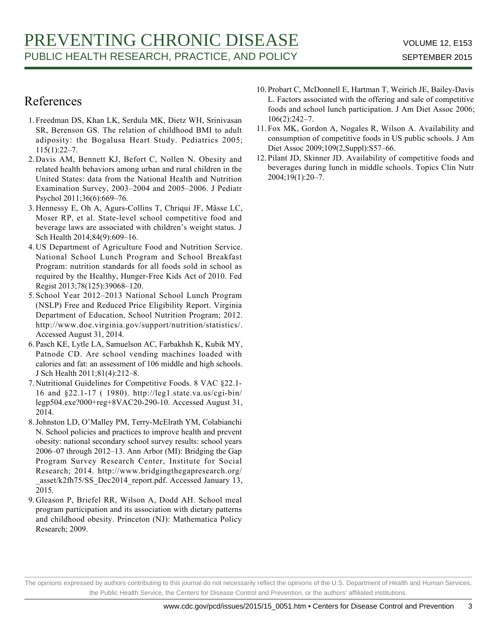#### References

- 1. Freedman DS, Khan LK, Serdula MK, Dietz WH, Srinivasan SR, Berenson GS. The relation of childhood BMI to adult adiposity: the Bogalusa Heart Study. Pediatrics 2005; 115(1):22–7.
- 2. Davis AM, Bennett KJ, Befort C, Nollen N. Obesity and related health behaviors among urban and rural children in the United States: data from the National Health and Nutrition Examination Survey, 2003–2004 and 2005–2006. J Pediatr Psychol 2011;36(6):669–76.
- 3. Hennessy E, Oh A, Agurs-Collins T, Chriqui JF, Mâsse LC, Moser RP, et al. State-level school competitive food and beverage laws are associated with children's weight status. J Sch Health 2014;84(9):609–16.
- US Department of Agriculture Food and Nutrition Service. 4. National School Lunch Program and School Breakfast Program: nutrition standards for all foods sold in school as required by the Healthy, Hunger-Free Kids Act of 2010. Fed Regist 2013;78(125):39068–120.
- School Year 2012–2013 National School Lunch Program 5. (NSLP) Free and Reduced Price Eligibility Report. Virginia Department of Education, School Nutrition Program; 2012. http://www.doe.virginia.gov/support/nutrition/statistics/. Accessed August 31, 2014.
- 6. Pasch KE, Lytle LA, Samuelson AC, Farbakhsh K, Kubik MY, Patnode CD. Are school vending machines loaded with calories and fat: an assessment of 106 middle and high schools. J Sch Health 2011;81(4):212–8.
- 7. Nutritional Guidelines for Competitive Foods. 8 VAC §22.1-16 and §22.1-17 ( 1980). http://leg1.state.va.us/cgi-bin/ legp504.exe?000+reg+8VAC20-290-10. Accessed August 31, 2014.
- 8. Johnston LD, O'Malley PM, Terry-McElrath YM, Colabianchi N. School policies and practices to improve health and prevent obesity: national secondary school survey results: school years 2006–07 through 2012–13. Ann Arbor (MI): Bridging the Gap Program Survey Research Center, Institute for Social Research; 2014. http://www.bridgingthegapresearch.org/ \_asset/k2fh75/SS\_Dec2014\_report.pdf. Accessed January 13, 2015.
- Gleason P, Briefel RR, Wilson A, Dodd AH. School meal 9. program participation and its association with dietary patterns and childhood obesity. Princeton (NJ): Mathematica Policy Research; 2009.
- 10. Probart C, McDonnell E, Hartman T, Weirich JE, Bailey-Davis L. Factors associated with the offering and sale of competitive foods and school lunch participation. J Am Diet Assoc 2006; 106(2):242–7.
- 11. Fox MK, Gordon A, Nogales R, Wilson A. Availability and consumption of competitive foods in US public schools. J Am Diet Assoc 2009;109(2,Suppl):S57–66.
- 12. Pilant JD, Skinner JD. Availability of competitive foods and beverages during lunch in middle schools. Topics Clin Nutr 2004;19(1):20–7.

The opinions expressed by authors contributing to this journal do not necessarily reflect the opinions of the U.S. Department of Health and Human Services, the Public Health Service, the Centers for Disease Control and Prevention, or the authors' affiliated institutions.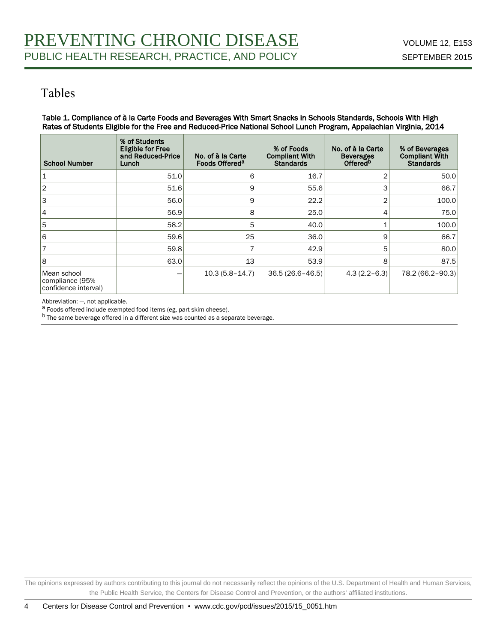#### Tables

Table 1. Compliance of à la Carte Foods and Beverages With Smart Snacks in Schools Standards, Schools With High Rates of Students Eligible for the Free and Reduced-Price National School Lunch Program, Appalachian Virginia, 2014

| <b>School Number</b>                                   | % of Students<br><b>Eligible for Free</b><br>and Reduced-Price<br>Lunch | No. of à la Carte<br>Foods Offered <sup>a</sup> | % of Foods<br><b>Compliant With</b><br><b>Standards</b> | No. of à la Carte<br><b>Beverages</b><br><b>Offered</b> <sup>b</sup> | % of Beverages<br><b>Compliant With</b><br><b>Standards</b> |
|--------------------------------------------------------|-------------------------------------------------------------------------|-------------------------------------------------|---------------------------------------------------------|----------------------------------------------------------------------|-------------------------------------------------------------|
| 1                                                      | 51.0                                                                    | 6                                               | 16.7                                                    | 2                                                                    | 50.0                                                        |
| $\mathbf{2}$                                           | 51.6                                                                    | 9                                               | 55.6                                                    | 3                                                                    | 66.7                                                        |
| 3                                                      | 56.0                                                                    | 9                                               | 22.2                                                    | 2                                                                    | 100.0                                                       |
| 4                                                      | 56.9                                                                    | 8                                               | 25.0                                                    | 4                                                                    | 75.0                                                        |
| 5                                                      | 58.2                                                                    | 5                                               | 40.0                                                    |                                                                      | 100.0                                                       |
| 6                                                      | 59.6                                                                    | 25                                              | 36.0                                                    | 9                                                                    | 66.7                                                        |
|                                                        | 59.8                                                                    |                                                 | 42.9                                                    | 5                                                                    | 80.0                                                        |
| 8                                                      | 63.0                                                                    | 13                                              | 53.9                                                    | 8                                                                    | 87.5                                                        |
| Mean school<br>compliance (95%<br>confidence interval) |                                                                         | $10.3(5.8 - 14.7)$                              | $36.5(26.6 - 46.5)$                                     | $4.3(2.2 - 6.3)$                                                     | 78.2 (66.2-90.3)                                            |

Abbreviation: —, not applicable.

<sup>a</sup> Foods offered include exempted food items (eg, part skim cheese).

 $<sup>b</sup>$  The same beverage offered in a different size was counted as a separate beverage.</sup>

The opinions expressed by authors contributing to this journal do not necessarily reflect the opinions of the U.S. Department of Health and Human Services, the Public Health Service, the Centers for Disease Control and Prevention, or the authors' affiliated institutions.